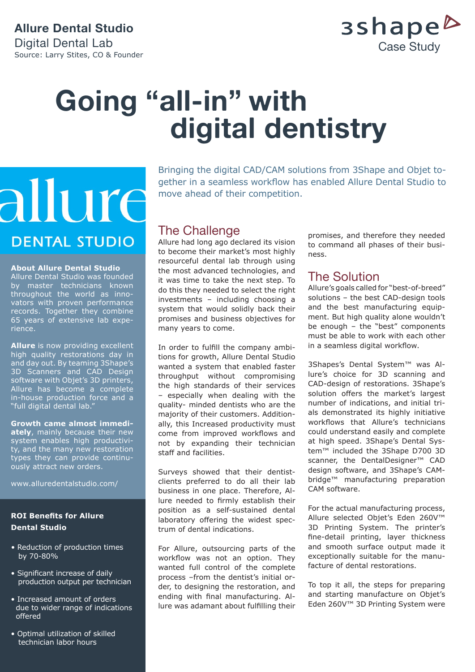### **Allure Dental Studio**  Digital Dental Lab Source: Larry Stites, CO & Founder



# **Going "all-in" with digital dentistry**

# allure **DENTAL STUDIO**

#### **About Allure Dental Studio**

Allure Dental Studio was founded by master technicians known throughout the world as innovators with proven performance records. Together they combine 65 years of extensive lab experience.

**Allure** is now providing excellent high quality restorations day in and day out. By teaming 3Shape's 3D Scanners and CAD Design software with Objet's 3D printers, Allure has become a complete in-house production force and a "full digital dental lab."

**Growth came almost immediately**, mainly because their new system enables high productivity, and the many new restoration types they can provide continuously attract new orders.

www.alluredentalstudio.com/

### **ROI Benefits for Allure Dental Studio**

- *•* Reduction of production times by 70-80%
- Significant increase of daily production output per technician
- Increased amount of orders due to wider range of indications offered
- Optimal utilization of skilled technician labor hours

Bringing the digital CAD/CAM solutions from 3Shape and Objet together in a seamless workflow has enabled Allure Dental Studio to move ahead of their competition.

# The Challenge

Allure had long ago declared its vision to become their market's most highly resourceful dental lab through using the most advanced technologies, and it was time to take the next step. To do this they needed to select the right investments – including choosing a system that would solidly back their promises and business objectives for many years to come.

In order to fulfill the company ambitions for growth, Allure Dental Studio wanted a system that enabled faster throughput without compromising the high standards of their services – especially when dealing with the quality- minded dentists who are the majority of their customers. Additionally, this Increased productivity must come from improved workflows and not by expanding their technician staff and facilities.

Surveys showed that their dentistclients preferred to do all their lab business in one place. Therefore, Allure needed to firmly establish their position as a self-sustained dental laboratory offering the widest spectrum of dental indications.

For Allure, outsourcing parts of the workflow was not an option. They wanted full control of the complete process –from the dentist's initial order, to designing the restoration, and ending with final manufacturing. Allure was adamant about fulfilling their promises, and therefore they needed to command all phases of their business.

# The Solution

Allure's goals called for "best-of-breed" solutions – the best CAD-design tools and the best manufacturing equipment. But high quality alone wouldn't be enough – the "best" components must be able to work with each other in a seamless digital workflow.

3Shapes's Dental System™ was Allure's choice for 3D scanning and CAD-design of restorations. 3Shape's solution offers the market's largest number of indications, and initial trials demonstrated its highly initiative workflows that Allure's technicians could understand easily and complete at high speed. 3Shape's Dental System™ included the 3Shape D700 3D scanner, the DentalDesigner<sup>™</sup> CAD design software, and 3Shape's CAMbridge™ manufacturing preparation CAM software.

For the actual manufacturing process, Allure selected Objet's Eden 260V™ 3D Printing System. The printer's fine-detail printing, layer thickness and smooth surface output made it exceptionally suitable for the manufacture of dental restorations.

To top it all, the steps for preparing and starting manufacture on Objet's Eden 260V™ 3D Printing System were